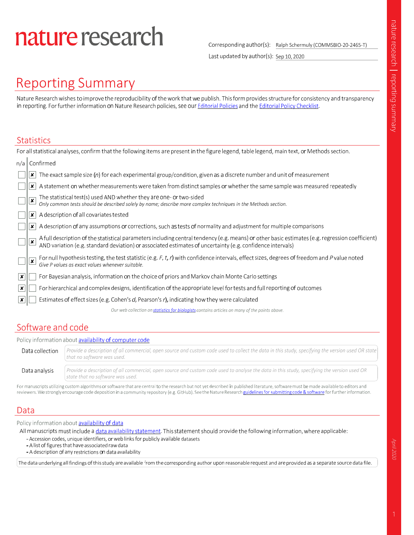# nature research

Corresponding author(s): Ralph Schermuly (COMMSBIO-20-2465-T)

Last updated by author(s): Sep 10, 2020

## **Reporting Summary**

Nature Research wishes to improve the reproducibility of the work that we publish. This form provides structure for consistency and transparency in reporting. For further information on Nature Research policies, see our Editorial Policies and the Editorial Policy Checklist.

### **Statistics**

|     |           | For all statistical analyses, confirm that the following items are present in the figure legend, table legend, main text, or Methods section.                                                                                                                 |  |  |  |
|-----|-----------|---------------------------------------------------------------------------------------------------------------------------------------------------------------------------------------------------------------------------------------------------------------|--|--|--|
| n/a | Confirmed |                                                                                                                                                                                                                                                               |  |  |  |
|     |           | The exact sample size $(n)$ for each experimental group/condition, given as a discrete number and unit of measurement                                                                                                                                         |  |  |  |
|     |           | A statement on whether measurements were taken from distinct samples or whether the same sample was measured repeatedly                                                                                                                                       |  |  |  |
|     |           | The statistical test(s) used AND whether they are one- or two-sided<br>Only common tests should be described solely by name; describe more complex techniques in the Methods section.                                                                         |  |  |  |
|     |           | A description of all covariates tested                                                                                                                                                                                                                        |  |  |  |
|     |           | A description of any assumptions or corrections, such as tests of normality and adjustment for multiple comparisons                                                                                                                                           |  |  |  |
|     |           | A full description of the statistical parameters including central tendency (e.g. means) or other basic estimates (e.g. regression coefficient)<br>AND variation (e.g. standard deviation) or associated estimates of uncertainty (e.g. confidence intervals) |  |  |  |
|     | ×         | For null hypothesis testing, the test statistic (e.g. F, t, r) with confidence intervals, effect sizes, degrees of freedom and P value noted<br>Give P values as exact values whenever suitable.                                                              |  |  |  |
| ×   |           | For Bayesian analysis, information on the choice of priors and Markov chain Monte Carlo settings                                                                                                                                                              |  |  |  |
| ×   |           | For hierarchical and complex designs, identification of the appropriate level for tests and full reporting of outcomes                                                                                                                                        |  |  |  |
|     |           | Estimates of effect sizes (e.g. Cohen's d, Pearson's r), indicating how they were calculated                                                                                                                                                                  |  |  |  |
|     |           | Our web collection on statistics for biologists contains articles on many of the points above.                                                                                                                                                                |  |  |  |
|     |           |                                                                                                                                                                                                                                                               |  |  |  |

### Software and code

| Policy information about availability of computer code |                                                                                                                                                                                 |  |  |  |  |
|--------------------------------------------------------|---------------------------------------------------------------------------------------------------------------------------------------------------------------------------------|--|--|--|--|
| Data collection                                        | Provide a description of all commercial, open source and custom code used to collect the data in this study, specifying the version used OR state<br>that no software was used. |  |  |  |  |
| Data analysis                                          | Provide a description of all commercial, open source and custom code used to analyse the data in this study, specifying the version used OR<br>state that no software was used. |  |  |  |  |

For manuscripts utilizing custom algorithms or software that are central to the research but not yet described in published literature, software must be made available to editors and reviewers. We strongly encourage code deposition in a community repository (e.g. GitHub). See the Nature Research guidelines for submitting code & software for further information.

#### Data

Policy information about availability of data

All manuscripts must include a data availability statement. This statement should provide the following information, where applicable:

- Accession codes, unique identifiers, or web links for publicly available datasets
- A list of figures that have associated raw data
- A description of any restrictions on data availability

The data underlying all findings of this study are available from the corresponding author upon reasonable request and are provided as a separate source data file.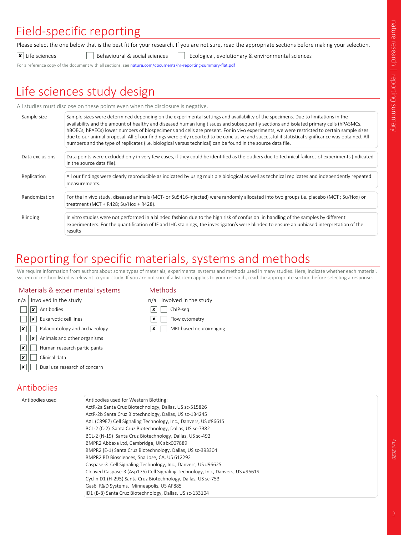### Field-specific reporting

Please select the one below that is the best fit for your research. If you are not sure, read the appropriate sections before making your selection.

 $\boxed{\textbf{x}}$  Life sciences  $\boxed{\phantom{a}}$  Behavioural & social sciences  $\boxed{\phantom{a}}$  Ecological, evolutionary & environmental sciences

For a reference copy of the document with all sections, see nature.com/documents/nr-reporting-summary-flat.pdf

### Life sciences study design

All studies must disclose on these points even when the disclosure is negative.

| Sample size     | Sample sizes were determined depending on the experimental settings and availability of the specimens. Due to limitations in the<br>availability and the amount of healthy and diseased human lung tissues and subsequently sections and isolated primary cells (hPASMCs,<br>hBOECs, hPAECs) lower numbers of biospecimens and cells are present. For in vivo experiments, we were restricted to certain sample sizes<br>due to our animal proposal. All of our findings were only reported to be conclusive and successful if statistical significance was obtained. All<br>numbers and the type of replicates (i.e. biological versus technical) can be found in the source data file. |
|-----------------|------------------------------------------------------------------------------------------------------------------------------------------------------------------------------------------------------------------------------------------------------------------------------------------------------------------------------------------------------------------------------------------------------------------------------------------------------------------------------------------------------------------------------------------------------------------------------------------------------------------------------------------------------------------------------------------|
| Data exclusions | Data points were excluded only in very few cases, if they could be identified as the outliers due to technical failures of experiments (indicated<br>in the source data file).                                                                                                                                                                                                                                                                                                                                                                                                                                                                                                           |
| Replication     | All our findings were clearly reproducible as indicated by using multiple biological as well as technical replicates and independently repeated<br>measurements.                                                                                                                                                                                                                                                                                                                                                                                                                                                                                                                         |
| Randomization   | For the in vivo study, diseased animals (MCT- or Su5416-injected) were randomly allocated into two groups i.e. placebo (MCT; Su/Hox) or<br>treatment (MCT + R428; Su/Hox + R428).                                                                                                                                                                                                                                                                                                                                                                                                                                                                                                        |
| Blinding        | In vitro studies were not performed in a blinded fashion due to the high risk of confusion in handling of the samples by different<br>experimenters. For the quantification of IF and IHC stainings, the investigator/s were blinded to ensure an unbiased interpretation of the<br>results                                                                                                                                                                                                                                                                                                                                                                                              |

### Reporting for specific materials, systems and methods

We require information from authors about some types of materials, experimental systems and methods used in many studies. Here, indicate whether each material, system or method listed is relevant to your study. If you are not sure if a list item applies to your research, read the appropriate section before selecting a response.

| Materials & experimental systems   | <b>Methods</b>               |  |
|------------------------------------|------------------------------|--|
| Involved in the study<br>n/a       | Involved in the study<br>n/a |  |
| Antibodies<br>×                    | ChIP-seg<br>×                |  |
| Eukaryotic cell lines<br>x         | ×<br>Flow cytometry          |  |
| Palaeontology and archaeology<br>× | MRI-based neuroimaging<br>×  |  |
| Animals and other organisms<br>×   |                              |  |
| Human research participants<br>×   |                              |  |
| Clinical data<br>×                 |                              |  |
| Dual use research of concern<br>×  |                              |  |

### Antibodies

| Antibodies used | Antibodies used for Western Blotting:                                          |
|-----------------|--------------------------------------------------------------------------------|
|                 | ActR-2a Santa Cruz Biotechnology, Dallas, US sc-515826                         |
|                 | ActR-2b Santa Cruz Biotechnology, Dallas, US sc-134245                         |
|                 | AXL (C89E7) Cell Signaling Technology, Inc., Danvers, US #8661S                |
|                 | BCL-2 (C-2) Santa Cruz Biotechnology, Dallas, US sc-7382                       |
|                 | BCL-2 (N-19) Santa Cruz Biotechnology, Dallas, US sc-492                       |
|                 | BMPR2 Abbexa Ltd, Cambridge, UK abx007889                                      |
|                 | BMPR2 (E-1) Santa Cruz Biotechnology, Dallas, US sc-393304                     |
|                 | BMPR2 BD Biosciences, Sna Jose, CA, US 612292                                  |
|                 | Caspase-3 Cell Signaling Technology, Inc., Danvers, US #9662S                  |
|                 | Cleaved Caspase-3 (Asp175) Cell Signaling Technology, Inc., Danvers, US #9661S |
|                 | Cyclin D1 (H-295) Santa Cruz Biotechnology, Dallas, US sc-753                  |
|                 | Gas6 R&D Systems, Minneapolis, US AF885                                        |
|                 | ID1 (B-8) Santa Cruz Biotechnology, Dallas, US sc-133104                       |
|                 |                                                                                |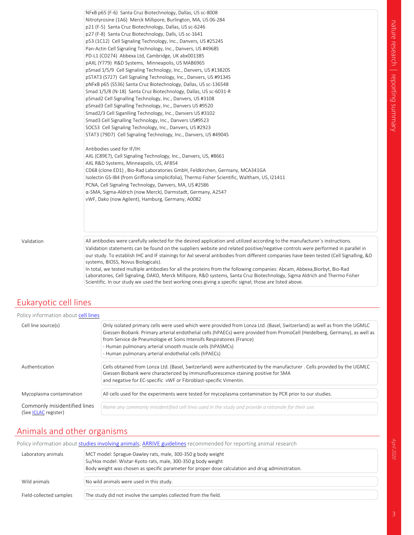NF#B p65 (F-6) Santa Cruz Biotechnology, Dallas, US sc-8008 Nitrotyrosine (1A6) Merck Millipore, Burlington, MA, US 06-284 p21 (F-5) Santa Cruz Biotechnology, Dallas, US sc-6246 p27 (F-8) Santa Cruz Biotechnology, Dalls, US sc-1641 p53 (1C12) Cell Signaling Technology, Inc., Danvers, US #2524S Pan-Actin Cell Signaling Technology, Inc., Danvers, US #4968S PD-L1 (CD274) Abbexa Ltd, Cambridge, UK abx001385 pAXL (Y779) R&D Systems, Minneapolis, US MAB6965 pSmad 1/5/9 Cell Signaling Technology, Inc., Danvers, US #13820S pSTAT3 (S727) Cell Signaling Technology, Inc., Danvers, US #9134S pNF#B p65 (S536) Santa Cruz Biotechnology, Dallas, US sc-136548 Smad 1/5/8 (N-18) Santa Cruz Biotechnology, Dallas, US sc-6031-R pSmad2 Cell Signalling Technology, Inc., Danvers, US #3108 pSmad3 Cell Signalling Technology, Inc., Danvers US #9520 Smad2/3 Cell Siganlling Technology, Inc., Danvers US #3102 Smad3 Cell Signalling Technology, Inc., Danvers US#9523 SOCS3 Cell Signaling Technology, Inc., Danvers, US #2923 STAT3 (79D7) Cell Signaling Technology, Inc., Danvers, US #4904S

Antibodies used for IF/IH: AXL (C89E7), Cell Signaling Technology, Inc., Danvers, US, #8661 AXL R&D Systems, Minneapolis, US, AF854 CD68 (clone ED1) , Bio-Rad Laboratories GmbH, Feldkirchen, Germany, MCA341GA Isolectin GS-IB4 (from Griffonia simplicifolia), Thermo Fisher Scientific, Waltham, US, I21411 PCNA, Cell Signaling Technology, Danvers, MA, US #2586 α-SMA, Sigma-Aldrich (now Merck), Darmstadt, Germany, A2547 vWF, Dako (now Agilent), Hamburg, Germany, A0082

Validation

All antibodies were carefully selected for the desired application and utilized according to the manufacturer´s instructions. Validation statements can be found on the suppliers website and related positive/negative controls were performed in parallel in our study. To establish IHC and IF stainings for Axl several antibodies from different companies have been tested (Cell Signalling, &D systems, BIOSS, Novus Biologicals).

In total, we tested multiple antibodies for all the proteins from the following companies: Abcam, Abbexa,Biorbyt, Bio-Rad Laboratories, Cell Signaling, DAKO, Merck Millipore, R&D systems, Santa Cruz Biotechnology, Sigma Aldrich and Thermo Fisher Scientific. In our study we used the best working ones giving a specific signal; those are listed above.

### Eukaryotic cell lines

| Policy information about cell lines                  |                                                                                                                                                                                                                                                                                                                                                                                                                                                       |  |  |  |  |
|------------------------------------------------------|-------------------------------------------------------------------------------------------------------------------------------------------------------------------------------------------------------------------------------------------------------------------------------------------------------------------------------------------------------------------------------------------------------------------------------------------------------|--|--|--|--|
| Cell line source(s)                                  | Only isolated primary cells were used which were provided from Lonza Ltd. (Basel, Switzerland) as well as from the UGMLC<br>Giessen Biobank. Primary arterial endothelial cells (hPAECs) were provided from PromoCell (Heidelberg, Germany), as well as<br>from Service de Pneumologie et Soins Intensifs Respiratoires (France)<br>- Human pulmonary arterial smooth muscle cells (hPASMCs)<br>- Human pulmonary arterial endothelial cells (hPAECs) |  |  |  |  |
| Authentication                                       | Cells obtained from Lonza Ltd. (Basel, Switzerland) were authenticated by the manufacturer. Cells provided by the UGMLC<br>Giessen Biobank were characterized by immunofluorescence staining positive for SMA<br>and negative for EC-specific vWF or Fibroblast-specific Vimentin.                                                                                                                                                                    |  |  |  |  |
| Mycoplasma contamination                             | All cells used for the experiments were tested for mycoplasma contamination by PCR prior to our studies.                                                                                                                                                                                                                                                                                                                                              |  |  |  |  |
| Commonly misidentified lines<br>(See ICLAC register) | Name any commonly misidentified cell lines used in the study and provide a rationale for their use.                                                                                                                                                                                                                                                                                                                                                   |  |  |  |  |

### Animals and other organisms

Policy information about studies involving animals; ARRIVE guidelines recommended for reporting animal research Laboratory animals Wild animals Field-collected samples MCT model: Sprague-Dawley rats, male, 300-350 g body weight Su/Hox model: Wistar-Kyoto rats, male, 300-350 g body weight Body weight was chosen as specific parameter for proper dose calculation and drug administration. No wild animals were used in this study. The study did not involve the samples collected from the field.